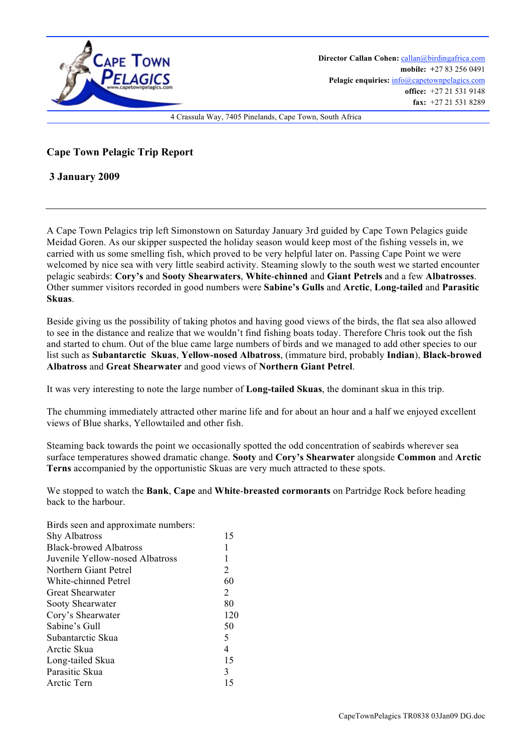

**Cape Town Pelagic Trip Report** 

 **3 January 2009**

A Cape Town Pelagics trip left Simonstown on Saturday January 3rd guided by Cape Town Pelagics guide Meidad Goren. As our skipper suspected the holiday season would keep most of the fishing vessels in, we carried with us some smelling fish, which proved to be very helpful later on. Passing Cape Point we were welcomed by nice sea with very little seabird activity. Steaming slowly to the south west we started encounter pelagic seabirds: **Cory's** and **Sooty Shearwaters**, **White**-**chinned** and **Giant Petrels** and a few **Albatrosses**. Other summer visitors recorded in good numbers were **Sabine's Gulls** and **Arctic**, **Long-tailed** and **Parasitic Skuas**.

Beside giving us the possibility of taking photos and having good views of the birds, the flat sea also allowed to see in the distance and realize that we wouldn't find fishing boats today. Therefore Chris took out the fish and started to chum. Out of the blue came large numbers of birds and we managed to add other species to our list such as **Subantarctic Skuas**, **Yellow-nosed Albatross**, (immature bird, probably **Indian**), **Black-browed Albatross** and **Great Shearwater** and good views of **Northern Giant Petrel**.

It was very interesting to note the large number of **Long-tailed Skuas**, the dominant skua in this trip.

The chumming immediately attracted other marine life and for about an hour and a half we enjoyed excellent views of Blue sharks, Yellowtailed and other fish.

Steaming back towards the point we occasionally spotted the odd concentration of seabirds wherever sea surface temperatures showed dramatic change. **Sooty** and **Cory's Shearwater** alongside **Common** and **Arctic Terns** accompanied by the opportunistic Skuas are very much attracted to these spots.

We stopped to watch the **Bank**, **Cape** and **White**-**breasted cormorants** on Partridge Rock before heading back to the harbour.

| Birds seen and approximate numbers: |     |
|-------------------------------------|-----|
| <b>Shy Albatross</b>                | 15  |
| <b>Black-browed Albatross</b>       | 1   |
| Juvenile Yellow-nosed Albatross     | 1   |
| Northern Giant Petrel               | 2   |
| White-chinned Petrel                | 60  |
| Great Shearwater                    | 2   |
| Sooty Shearwater                    | 80  |
| Cory's Shearwater                   | 120 |
| Sabine's Gull                       | 50  |
| Subantarctic Skua                   | 5   |
| Arctic Skua                         | 4   |
| Long-tailed Skua                    | 15  |
| Parasitic Skua                      | 3   |
| Arctic Tern                         | 15  |
|                                     |     |